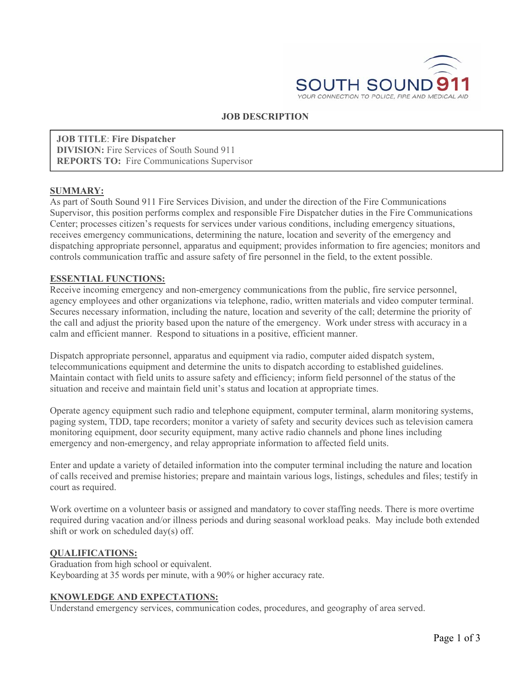

### **JOB DESCRIPTION**

**JOB TITLE**: **Fire Dispatcher DIVISION:** Fire Services of South Sound 911 **REPORTS TO:** Fire Communications Supervisor

#### **SUMMARY:**

As part of South Sound 911 Fire Services Division, and under the direction of the Fire Communications Supervisor, this position performs complex and responsible Fire Dispatcher duties in the Fire Communications Center; processes citizen's requests for services under various conditions, including emergency situations, receives emergency communications, determining the nature, location and severity of the emergency and dispatching appropriate personnel, apparatus and equipment; provides information to fire agencies; monitors and controls communication traffic and assure safety of fire personnel in the field, to the extent possible.

#### **ESSENTIAL FUNCTIONS:**

Receive incoming emergency and non-emergency communications from the public, fire service personnel, agency employees and other organizations via telephone, radio, written materials and video computer terminal. Secures necessary information, including the nature, location and severity of the call; determine the priority of the call and adjust the priority based upon the nature of the emergency. Work under stress with accuracy in a calm and efficient manner. Respond to situations in a positive, efficient manner.

Dispatch appropriate personnel, apparatus and equipment via radio, computer aided dispatch system, telecommunications equipment and determine the units to dispatch according to established guidelines. Maintain contact with field units to assure safety and efficiency; inform field personnel of the status of the situation and receive and maintain field unit's status and location at appropriate times.

Operate agency equipment such radio and telephone equipment, computer terminal, alarm monitoring systems, paging system, TDD, tape recorders; monitor a variety of safety and security devices such as television camera monitoring equipment, door security equipment, many active radio channels and phone lines including emergency and non-emergency, and relay appropriate information to affected field units.

Enter and update a variety of detailed information into the computer terminal including the nature and location of calls received and premise histories; prepare and maintain various logs, listings, schedules and files; testify in court as required.

Work overtime on a volunteer basis or assigned and mandatory to cover staffing needs. There is more overtime required during vacation and/or illness periods and during seasonal workload peaks. May include both extended shift or work on scheduled day(s) off.

### **QUALIFICATIONS:**

Graduation from high school or equivalent. Keyboarding at 35 words per minute, with a 90% or higher accuracy rate.

### **KNOWLEDGE AND EXPECTATIONS:**

Understand emergency services, communication codes, procedures, and geography of area served.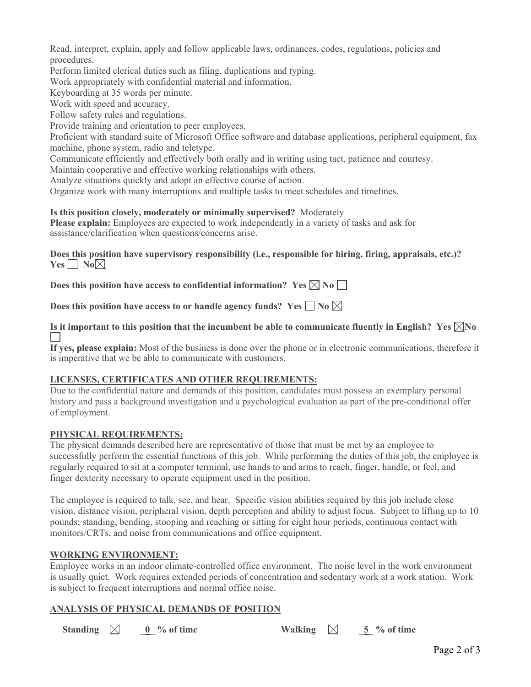Read, interpret, explain, apply and follow applicable laws, ordinances, codes, regulations, policies and procedures.

Perform limited clerical duties such as filing, duplications and typing.

Work appropriately with confidential material and information.

Keyboarding at 35 words per minute.

Work with speed and accuracy.

Follow safety rules and regulations.

Provide training and orientation to peer employees.

Proficient with standard suite of Microsoft Office software and database applications, peripheral equipment, fax machine, phone system, radio and teletype.

Communicate efficiently and effectively both orally and in writing using tact, patience and courtesy.

Maintain cooperative and effective working relationships with others.

Analyze situations quickly and adopt an effective course of action.

Organize work with many interruptions and multiple tasks to meet schedules and timelines.

### **Is this position closely, moderately or minimally supervised?** Moderately

**Please explain:** Employees are expected to work independently in a variety of tasks and ask for assistance/clarification when questions/concerns arise.

**Does this position have supervisory responsibility (i.e., responsible for hiring, firing, appraisals, etc.)? Yes**  $\Box$  **No** $\boxtimes$ 

**Does this position have access to confidential information?** Yes  $\boxtimes$  No  $\Box$ 

**Does this position have access to or handle agency funds?** Yes  $\Box$  No  $\boxtimes$ 

Is it important to this position that the incumbent be able to communicate fluently in English? Yes  $\boxtimes$ No

**If yes, please explain:** Most of the business is done over the phone or in electronic communications, therefore it is imperative that we be able to communicate with customers.

# **LICENSES, CERTIFICATES AND OTHER REQUIREMENTS:**

Due to the confidential nature and demands of this position, candidates must possess an exemplary personal history and pass a background investigation and a psychological evaluation as part of the pre-conditional offer of employment.

# **PHYSICAL REQUIREMENTS:**

The physical demands described here are representative of those that must be met by an employee to successfully perform the essential functions of this job. While performing the duties of this job, the employee is regularly required to sit at a computer terminal, use hands to and arms to reach, finger, handle, or feel, and finger dexterity necessary to operate equipment used in the position.

The employee is required to talk, see, and hear. Specific vision abilities required by this job include close vision, distance vision, peripheral vision, depth perception and ability to adjust focus. Subject to lifting up to 10 pounds; standing, bending, stooping and reaching or sitting for eight hour periods, continuous contact with monitors/CRTs, and noise from communications and office equipment.

# **WORKING ENVIRONMENT:**

Employee works in an indoor climate-controlled office environment. The noise level in the work environment is usually quiet. Work requires extended periods of concentration and sedentary work at a work station. Work is subject to frequent interruptions and normal office noise.

# **ANALYSIS OF PHYSICAL DEMANDS OF POSITION**

| Standing $\boxtimes$ |  | $0\%$ of time | <b>Walking</b> |  | $5\%$ of time |
|----------------------|--|---------------|----------------|--|---------------|
|----------------------|--|---------------|----------------|--|---------------|

Page 2 of 3